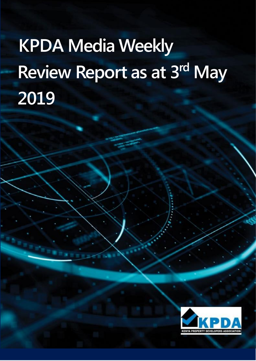# **KPDA Media Weekly Review Report as at 3 rd May 2019**

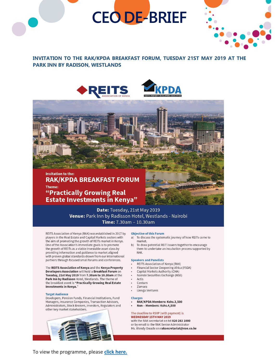# **CEO DE-BRIEF**



#### INVITATION TO THE RAK/KPDA BREAKFAST FORUM, TUESDAY 21ST MAY 2019 AT THE **PARK INN BY RADISON, WESTLANDS**





#### **Invitation to the: RAK/KPDA BREAKFAST FORUM** Theme: "Practically Growing Real **Estate Investments in Kenya"**

Date: Tuesday, 21st May 2019 Venue: Park Inn by Radisson Hotel, Westlands - Nairobi Time: 7.30am - 10.30am

REITS Association of Kenya (RAK) was established in 2017 by players in the Real Estate and Capital Markets sectors with the aim of promoting the growth of REITs market in Kenya. One of the Association's immediate goals is to promote the growth of REITs as a viable investable asset class by providing information and guidance to market aligned with proven global standards drawn from our international partners through focused small forums and conferences.

The REITS Association of Kenya and the Kenya Property Developers Association will hold a Breakfast Forum on Tuesday, 21st May 2019 from 7.30am to 10.30am at the Park Inn by Radisson Hotel, Westlands. The theme of the breakfast event is "Practically Growing Real Estate Investments in Kenya."

#### **Target Audience**

Developers, Pension Funds, Financial Institutions, Fund Managers, Insurance Companies, Transaction Advisors, Administrators, Stock Brokers, Investors, Regulators and other key market stakeholders.



#### **Objective of this Forum**

- a) To discuss the systematic journey of how REITs come to market.
- To draw potential REIT issuers together to encourage  $b)$ them to undertake an incubation process supported by RAK.

#### **Speakers and Panelists**

- REITS Association of Kenya (RAK)
- Financial Sector Deepening Africa (FSDA)
- Capital Markets Authority (CMA)
- Nairobi Securities Exchange (NSE) Actis
- Centum
- Zamara
- iJenga Ventures

#### **Charges**

- RAK/KPDA Members: Kshs.3,500
- Non Members: Kshs.4,500

#### The deadline to RSVP (with payment) is

**WEDNESDAY 15TH MAY 2019** with the RAK secretariat on tel 020 283 1000 or by email to the RAK Senior Administrator

Ms. Wendy Owade on raksecretariat@nse.co.ke

To view the programme, please click here.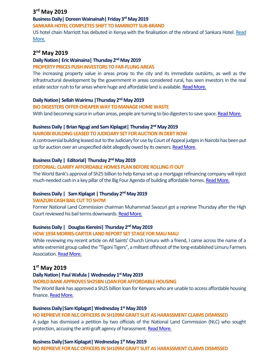# **3 rd May 2019**

#### **Business Daily| DoreenWainainah| Friday 3rd May 2019**

#### **SANKARA HOTEL COMPLETES SHIFT TO MARRIOTT SUB-BRAND**

US hotel chain Marriott has debuted in Kenya with the finalisation of the rebrand of Sankara Hotel. Read [More.](https://www.businessdailyafrica.com/corporate/companies/Sankara-Hotel-completes-shift-to-Marriott/4003102-5098142-im8y5rz/index.html)

# **2 nd May 2019**

#### **Daily Nation| Eric Wainaina| Thursday 2 ndMay 2019**

#### **PROPERTY PRICES PUSH INVESTORS TO FAR-FLUNG AREAS**

The increasing property value in areas proxy to the city and its immediate outskirts, as well as the infrastructural development by the government in areas considered rural, has seen investors in the real estate sector rush to far areas where huge and affordable land is available. [Read More.](https://www.nation.co.ke/lifestyle/dn2/Property-prices-push-investors-to-far-flung-areas/957860-5096018-8wt0fhz/index.html)

#### **Daily Nation| Sellah Wairimu |Thursday 2 ndMay 2019**

#### **BIO DIGESTERS OFFER CHEAPER WAY TO MANAGE HOME WASTE**

With land becoming scarce in urban areas, people are turning to bio digesters to save space. [Read More.](https://www.nation.co.ke/lifestyle/dn2/Bio-digesters-offer-cheaper-way-to-manage-home-waste/957860-5096054-l64fhtz/index.html)

#### **Business Daily | Brian Ngugi and Sam Kiplagat| Thursday 2 nd May 2019**

#### **NAIROBI BUILDING LEASED TO JUDICIARY SET FOR AUCTION IN DEBT ROW**

A controversial building leased out to the Judiciary for use by Court of Appeal judges in Nairobi has been put up for auction over an unspecified debt allegedly owed by its owners[. Read More.](https://www.businessdailyafrica.com/news/Nairobi-building-leased-to-Judiciary-set-for-auction-in-debt-row/539546-5097212-5couks/index.html)

#### **Business Daily | Editorial| Thursday 2 ndMay 2019**

#### **EDITORIAL: CLARIFY AFFORDABLE HOMES PLAN BEFORE ROLLING IT OUT**

The World Bank's approval of Sh25 billion to help Kenya set up a mortgage refinancing company will inject much-needed cash in a key pillar of the Big Four Agenda of building affordable homes[. Read More.](https://www.businessdailyafrica.com/analysis/editorials/Clarify-affordable-homes-plan-before/4259378-5097954-upm0q0/index.html)

#### **Business Daily | Sam Kiplagat | Thursday 2 ndMay 2019**

#### **SWAZURI CASH BAIL CUT TO SH7M**

Former National Land Commission chairman Muhammad Swazuri got a reprieve Thursday after the High Court reviewed his bail terms downwards[. Read More.](https://www.businessdailyafrica.com/economy/Swazuri-cash-bail-cut-to-Sh7m/3946234-5098194-ms3nuv/index.html)

#### **Business Daily | Douglas Kiereini| Thursday 2 ndMay 2019**

#### **HOW 1934 MORRIS-CARTER LAND REPORT SET STAGE FOR MAU MAU**

While reviewing my recent article on All Saints' Church Limuru with a friend, I came across the name of a white extremist group called the "Tigoni Tigers", a militant offshoot of the long-established Limuru Farmers Association[. Read More.](https://www.businessdailyafrica.com/lifestyle/society/-land-report-set-stage-for-Mau-Mau/3405664-5097794-ba4c7tz/index.html)

# **1 st May 2019**

#### **Daily Nation| Paul Wafula |Wednesday 1 stMay 2019**

#### **WORLD BANK APPROVES SH25BN LOAN FOR AFFORDABLE HOUSING**

The World Bank has approved a Sh25 billion loan for Kenyans who are unable to access affordable housing finance. [Read More.](https://www.nation.co.ke/news/World-Bank-gives-Sh25bn-housing-loan-/1056-5096028-sn4524z/index.html)

#### **Business Daily|Sam Kiplagat| Wednesday 1 st May 2019**

#### **NO REPRIEVE FOR NLC OFFICERS IN SH109M GRAFT SUIT AS HARASSMENT CLAIMS DISMISSED**

A judge has dismissed a petition by two officials of the National Land Commission (NLC) who sought protection, accusing the anti-graft agency of harassment. [Read More.](https://www.businessdailyafrica.com/economy/No-reprieve-for-NLC-officers-in-Sh109m-graft-suit-/3946234-5096616-munmfm/index.html)

#### **Business Daily|Sam Kiplagat| Wednesday 1 st May 2019**

**NO REPRIEVE FOR NLC OFFICERS IN SH109M GRAFT SUIT AS HARASSMENT CLAIMS DISMISSED**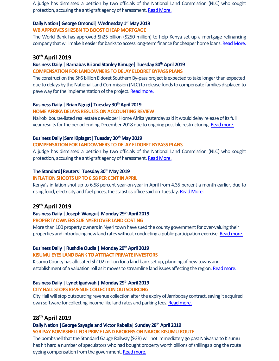A judge has dismissed a petition by two officials of the National Land Commission (NLC) who sought protection, accusing the anti-graft agency of harassment. [Read More.](https://www.businessdailyafrica.com/economy/No-reprieve-for-NLC-officers-in-Sh109m-graft-suit-/3946234-5096616-munmfm/index.html)

#### **Daily Nation| GeorgeOmondi|Wednesday 1 stMay 2019**

#### **WB APPROVES SH25BN TO BOOST CHEAP MORTGAGE**

The World Bank has approved Sh25 billion (\$250 million) to help Kenya set up a mortgage refinancing company that will make it easier for banks to access long-term finance for cheaper home loans[. Read More.](https://www.nation.co.ke/business/WB-approves-Sh25bn-to-boost-cheap-mortgage/996-5096652-ycixk2z/index.html)

#### **30th April 2019**

#### **Business Daily | Barnabas Bii and Stanley Kimuge| Tuesday 30thApril 2019**

#### **COMPENSATION FOR LANDOWNERS TO DELAY ELDORET BYPASS PLANS**

The construction the Sh6 billion Eldoret Southern By-pass project is expected to take longer than expected due to delays by the National Land Commission (NLC) to release funds to compensate families displaced to pave way for the implementation of the project. [Read more.](https://www.businessdailyafrica.com/corporate/shipping/Compensation-for-landowners-to-delay-Eldoret/4003122-5095104-t2s5qrz/index.html)

#### **Business Daily | Brian Ngugi| Tuesday 30thApril 2019**

#### **HOME AFRIKA DELAYS RESULTS ON ACCOUNTING REVIEW**

Nairobi bourse-listed real estate developer Home Afrika yesterday said it would delay release of its full year results for the period ending December 2018 due to ongoing possible restructuring. [Read more.](https://www.businessdailyafrica.com/corporate/companies/Home-Afrika-delays-results/4003102-5094938-fllug9z/index.html)

#### **Business Daily|Sam Kiplagat| Tuesday 30th May 2019**

#### **COMPENSATION FOR LANDOWNERS TO DELAY ELDORET BYPASS PLANS**

A judge has dismissed a petition by two officials of the National Land Commission (NLC) who sought protection, accusing the anti-graft agency of harassment. [Read More.](https://www.businessdailyafrica.com/economy/No-reprieve-for-NLC-officers-in-Sh109m-graft-suit-/3946234-5096616-munmfm/index.html)

#### **The Standard|Reuters| Tuesday 30thMay 2019**

#### **INFLATION SHOOTS UP TO 6.58 PER CENT IN APRIL**

Kenya's inflation shot up to 6.58 percent year-on-year in April from 4.35 percent a month earlier, due to rising food, electricity and fuel prices, the statistics office said on Tuesday. [Read More.](https://www.standardmedia.co.ke/business/article/2001323385/cost-of-living-up-in-april-knbs)

# **29th April 2019**

#### **Business Daily | Joseph Wangui| Monday 29 thApril 2019**

#### **PROPERTY OWNERS SUE NYERI OVER LAND COSTING**

More than 100 property owners in Nyeri town have sued the county government for over-valuing their properties and introducing new land rates without conducting a public participation exercise. [Read more.](https://www.businessdailyafrica.com/news/counties/Property-owners-sue-Nyeri-over-land-costing/4003142-5093232-h3h8rw/index.html)

#### **Business Daily | Rushdie Oudia | Monday 29 thApril 2019**

#### **KISUMU EYES LAND BANK TO ATTRACT PRIVATE INVESTORS**

Kisumu County has allocated Sh102 million for a land bank set up, planning of new towns and establishment of a valuation roll as it moves to streamline land issues affecting the region. [Read more.](https://www.businessdailyafrica.com/news/counties/Kisumu-eyes-land-bank-to-attract-/4003142-5093228-ltj63bz/index.html)

#### **Business Daily | Lynet Igadwah | Monday 29 thApril 2019**

#### **CITY HALL STOPS REVENUE COLLECTION OUTSOURCING**

City Hall will stop outsourcing revenue collection after the expiry of Jambopay contract, saying it acquired own software for collecting income like land rates and parking fees. [Read more.](https://www.businessdailyafrica.com/economy/City-Hall-stops-revenue-collection-outsourcing/3946234-5093372-lm23iv/index.html)

# **28 th April 2019**

#### **Daily Nation |George Sayagie and Victor Raballa| Sunday 28 thApril 2019**

**SGR PAY BOMBSHELL FOR PRIME LAND BROKERS ON NAROK-KISUMU ROUTE**

The bombshell that the Standard Gauge Railway (SGR) will not immediately go past Naivasha to Kisumu has hit hard a number of speculators who had bought property worth billions of shillings along the route eyeing compensation from the government. [Read more.](https://www.nation.co.ke/business/Homeowners-risk-eviction-in-Kajiado/996-5081446-rngc41z/index.html)